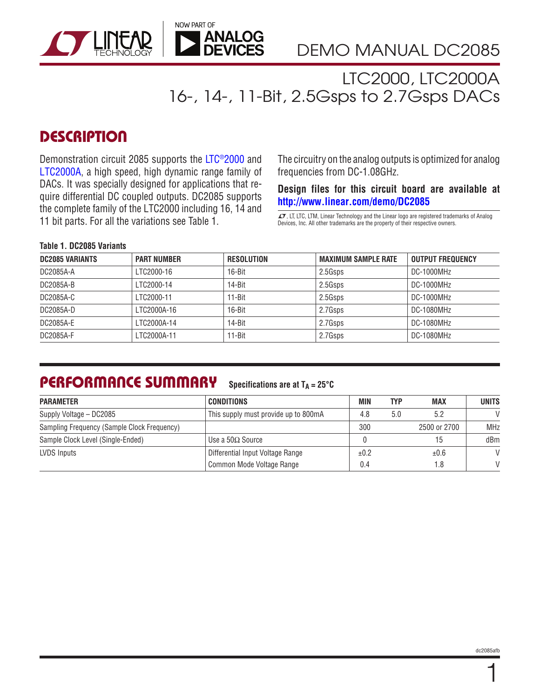

LTC2000, LTC2000A 16-, 14-, 11-Bit, 2.5Gsps to 2.7Gsps DACs

### **DESCRIPTION**

Demonstration circuit 2085 supports the [LTC®2000](http://www.linear.com/LTC2000) and [LTC2000A,](http://www.linear.com/LTC2000A) a high speed, high dynamic range family of DACs. It was specially designed for applications that require differential DC coupled outputs. DC2085 supports the complete family of the LTC2000 including 16, 14 and 11 bit parts. For all the variations see Table 1.  $\frac{1}{\sqrt{1}}$ , LTC, LTC, LTM, Linear Technology and the Linear logo are registered trademarks of Analog

The circuitry on the analog outputs is optimized for analog frequencies from DC-1.08GHz.

#### **Design files for this circuit board are available at [http://www.linear.com/demo/DC2085](http://www.linear.com/demo/DC2085A)**

Devices, Inc. All other trademarks are the property of their respective owners.

#### **Table 1. DC2085 Variants**

| <b>DC2085 VARIANTS</b> | <b>PART NUMBER</b> | <b>RESOLUTION</b> | <b>MAXIMUM SAMPLE RATE</b> | <b>OUTPUT FREQUENCY</b> |
|------------------------|--------------------|-------------------|----------------------------|-------------------------|
| DC2085A-A              | LTC2000-16         | 16-Bit            | 2.5Gsps                    | DC-1000MHz              |
| DC2085A-B              | LTC2000-14         | $14 - Bit$        | 2.5Gsps                    | DC-1000MHz              |
| DC2085A-C              | LTC2000-11         | 11-Bit            | 2.5Gsps                    | DC-1000MHz              |
| DC2085A-D              | 1 TC2000A-16       | 16-Bit            | 2.7Gsps                    | DC-1080MHz              |
| DC2085A-E              | I TC2000A-14       | 14-Bit            | 2.7Gsps                    | DC-1080MHz              |
| DC2085A-F              | LTC2000A-11        | $11 - Bit$        | 2.7Gsps                    | DC-1080MHz              |

### PERFORMANCE SUMMARY

Specifications are at  $T_A = 25^\circ C$ 

| <b>PARAMETER</b>                            | <b>CONDITIONS</b>                    | <b>MIN</b> | TYP | <b>MAX</b>   | <b>UNITS</b>  |
|---------------------------------------------|--------------------------------------|------------|-----|--------------|---------------|
| Supply Voltage - DC2085                     | This supply must provide up to 800mA | 4.8        | 5.0 |              | $\mathcal{U}$ |
| Sampling Frequency (Sample Clock Frequency) |                                      | 300        |     | 2500 or 2700 | <b>MHz</b>    |
| Sample Clock Level (Single-Ended)           | Use a $50\Omega$ Source              |            |     |              | dBm           |
| LVDS Inputs                                 | Differential Input Voltage Range     | ±0.2       |     | ±0.6         | $\mathcal{U}$ |
|                                             | Common Mode Voltage Range            | 0.4        |     |              | $\mathcal{U}$ |

1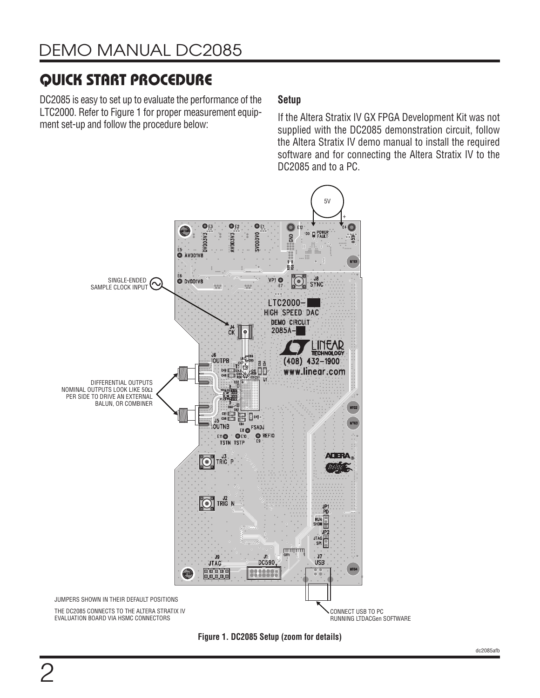DC2085 is easy to set up to evaluate the performance of the LTC2000. Refer to [Figure 1](#page-1-0) for proper measurement equipment set-up and follow the procedure below:

### **Setup**

If the Altera Stratix IV GX FPGA Development Kit was not supplied with the DC2085 demonstration circuit, follow the Altera Stratix IV demo manual to install the required software and for connecting the Altera Stratix IV to the DC2085 and to a PC.



<span id="page-1-0"></span>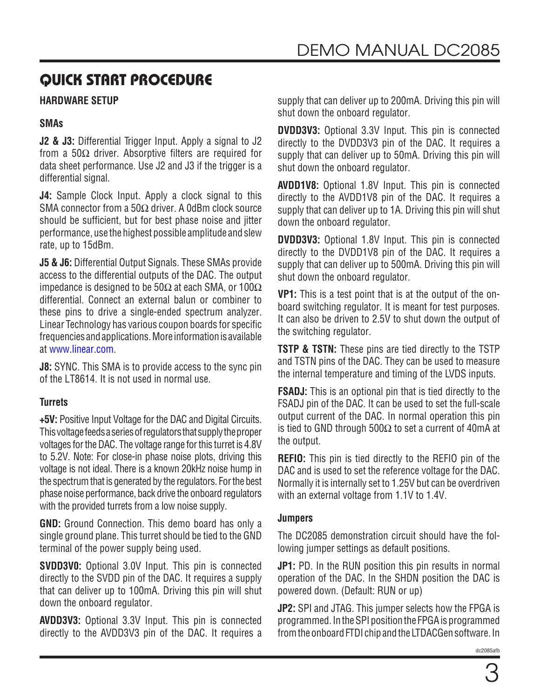### **HARDWARE SETUP**

#### **SMAs**

**J2 & J3:** Differential Trigger Input. Apply a signal to J2 from a 50 $\Omega$  driver. Absorptive filters are required for data sheet performance. Use J2 and J3 if the trigger is a differential signal.

**J4:** Sample Clock Input. Apply a clock signal to this SMA connector from a 50Ω driver. A 0dBm clock source should be sufficient, but for best phase noise and jitter performance, use the highest possible amplitude and slew rate, up to 15dBm.

**J5 & J6:** Differential Output Signals. These SMAs provide access to the differential outputs of the DAC. The output impedance is designed to be 50Ω at each SMA, or 100Ω differential. Connect an external balun or combiner to these pins to drive a single-ended spectrum analyzer. Linear Technology has various coupon boards for specific frequencies and applications. More information is available at [www.linear.com.](http://www.linear.com)

**J8:** SYNC. This SMA is to provide access to the sync pin of the LT8614. It is not used in normal use.

#### **Turrets**

**+5V:** Positive Input Voltage for the DAC and Digital Circuits. This voltage feeds a series of regulators that supply the proper voltages for the DAC. The voltage range for this turret is 4.8V to 5.2V. Note: For close-in phase noise plots, driving this voltage is not ideal. There is a known 20kHz noise hump in the spectrum that is generated by the regulators. For the best phase noise performance, back drive the onboard regulators with the provided turrets from a low noise supply.

**GND:** Ground Connection. This demo board has only a single ground plane. This turret should be tied to the GND terminal of the power supply being used.

**SVDD3V0:** Optional 3.0V Input. This pin is connected directly to the SVDD pin of the DAC. It requires a supply that can deliver up to 100mA. Driving this pin will shut down the onboard regulator.

**AVDD3V3:** Optional 3.3V Input. This pin is connected directly to the AVDD3V3 pin of the DAC. It requires a supply that can deliver up to 200mA. Driving this pin will shut down the onboard regulator.

**DVDD3V3:** Optional 3.3V Input. This pin is connected directly to the DVDD3V3 pin of the DAC. It requires a supply that can deliver up to 50mA. Driving this pin will shut down the onboard regulator.

**AVDD1V8:** Optional 1.8V Input. This pin is connected directly to the AVDD1V8 pin of the DAC. It requires a supply that can deliver up to 1A. Driving this pin will shut down the onboard regulator.

**DVDD3V3:** Optional 1.8V Input. This pin is connected directly to the DVDD1V8 pin of the DAC. It requires a supply that can deliver up to 500mA. Driving this pin will shut down the onboard regulator.

**VP1:** This is a test point that is at the output of the onboard switching regulator. It is meant for test purposes. It can also be driven to 2.5V to shut down the output of the switching regulator.

**TSTP & TSTN:** These pins are tied directly to the TSTP and TSTN pins of the DAC. They can be used to measure the internal temperature and timing of the LVDS inputs.

**FSADJ:** This is an optional pin that is tied directly to the FSADJ pin of the DAC. It can be used to set the full-scale output current of the DAC. In normal operation this pin is tied to GND through 500 $\Omega$  to set a current of 40mA at the output.

**REFIO:** This pin is tied directly to the REFIO pin of the DAC and is used to set the reference voltage for the DAC. Normally it is internally set to 1.25V but can be overdriven with an external voltage from 1.1V to 1.4V.

#### **Jumpers**

The DC2085 demonstration circuit should have the following jumper settings as default positions.

**JP1:** PD. In the RUN position this pin results in normal operation of the DAC. In the SHDN position the DAC is powered down. (Default: RUN or up)

**JP2:** SPI and JTAG. This jumper selects how the FPGA is programmed. In the SPI position the FPGA is programmed from the onboard FTDI chip and the LTDACGen software. In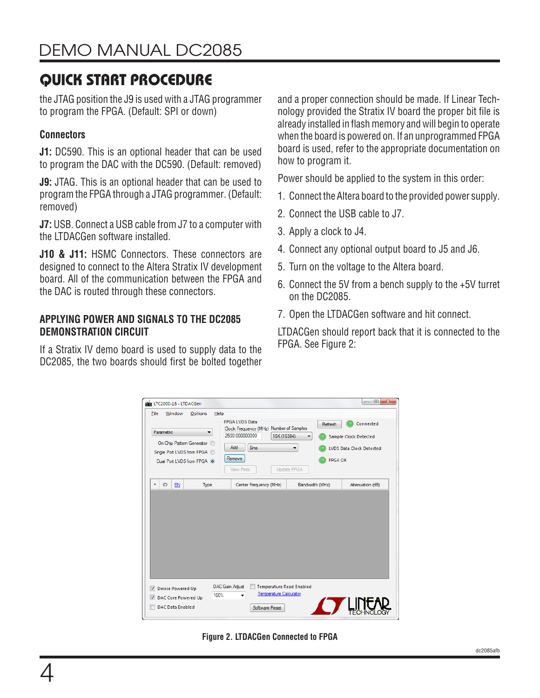the JTAG position the J9 is used with a JTAG programmer to program the FPGA. (Default: SPI or down)

### **Connectors**

**J1:** DC590. This is an optional header that can be used to program the DAC with the DC590. (Default: removed)

**J9:** JTAG. This is an optional header that can be used to program the FPGA through a JTAG programmer. (Default: removed)

**J7:** USB. Connect a USB cable from J7 to a computer with the LTDACGen software installed.

**J10 & J11:** HSMC Connectors. These connectors are designed to connect to the Altera Stratix IV development board. All of the communication between the FPGA and the DAC is routed through these connectors.

#### **APPLYING POWER AND SIGNALS TO THE DC2085 DEMONSTRATION CIRCUIT**

If a Stratix IV demo board is used to supply data to the DC2085, the two boards should first be bolted together and a proper connection should be made. If Linear Technology provided the Stratix IV board the proper bit file is already installed in flash memory and will begin to operate when the board is powered on. If an unprogrammed FPGA board is used, refer to the appropriate documentation on how to program it.

Power should be applied to the system in this order:

- 1. Connect the Altera board to the provided power supply.
- 2. Connect the USB cable to J7.
- 3. Apply a clock to J4.
- 4. Connect any optional output board to J5 and J6.
- 5. Turn on the voltage to the Altera board.
- 6. Connect the 5V from a bench supply to the +5V turret on the DC2085.
- 7. Open the LTDACGen software and hit connect.

LTDACGen should report back that it is connected to the FPGA. See [Figure 2](#page-3-0):

| File<br>Parametric | Window                   | Options<br>Help<br>On Chip Pattern Generator ©<br>Single Port LVDS from FPGA @<br>Dual Port LVDS from FPGA @ | <b>FPGA LVDS Data</b><br>Clock Frequency (MHz) Number of Samples<br>2500.000000000<br>16K (16384)<br>Add<br>Sine<br>Remove<br><b>View Plots</b> | Refresh<br>▼<br>▼<br><b>FPGA OK</b><br>Update FPGA | Connected<br><b>Sample Clock Detected</b><br><b>LVDS Data Clock Detected</b> |
|--------------------|--------------------------|--------------------------------------------------------------------------------------------------------------|-------------------------------------------------------------------------------------------------------------------------------------------------|----------------------------------------------------|------------------------------------------------------------------------------|
|                    |                          |                                                                                                              |                                                                                                                                                 |                                                    |                                                                              |
| ID<br>v            | EN                       | Type                                                                                                         | Center Frequency (MHz)                                                                                                                          | Bandwidth (MHz)                                    | Attenuation (dB)                                                             |
|                    |                          |                                                                                                              |                                                                                                                                                 |                                                    |                                                                              |
|                    |                          |                                                                                                              |                                                                                                                                                 |                                                    |                                                                              |
|                    |                          |                                                                                                              |                                                                                                                                                 |                                                    |                                                                              |
|                    |                          |                                                                                                              |                                                                                                                                                 |                                                    |                                                                              |
| ⊽                  | <b>Device Powered Up</b> |                                                                                                              | DAC Gain Adjust<br><b>Temperature Read Enabled</b><br>Temperature Calculator                                                                    |                                                    |                                                                              |

<span id="page-3-0"></span>**Figure 2. LTDACGen Connected to FPGA**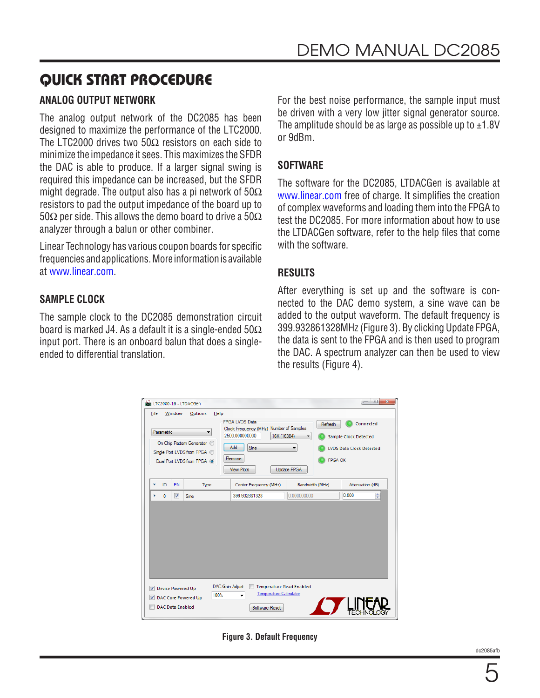### **ANALOG OUTPUT NETWORK**

The analog output network of the DC2085 has been designed to maximize the performance of the LTC2000. The LTC2000 drives two 50 $\Omega$  resistors on each side to minimize the impedance it sees. This maximizes the SFDR the DAC is able to produce. If a larger signal swing is required this impedance can be increased, but the SFDR might degrade. The output also has a pi network of  $50\Omega$ resistors to pad the output impedance of the board up to 50Ω per side. This allows the demo board to drive a 50Ω analyzer through a balun or other combiner.

Linear Technology has various coupon boards for specific frequencies and applications. More information is available at [www.linear.com.](http://www.linear.com)

#### **SAMPLE CLOCK**

The sample clock to the DC2085 demonstration circuit board is marked J4. As a default it is a single-ended  $50\Omega$ input port. There is an onboard balun that does a singleended to differential translation.

For the best noise performance, the sample input must be driven with a very low jitter signal generator source. The amplitude should be as large as possible up to  $\pm 1.8V$ or 9dBm.

#### **SOFTWARE**

The software for the DC2085, LTDACGen is available at [www.linear.com](http://www.linear.com) free of charge. It simplifies the creation of complex waveforms and loading them into the FPGA to test the DC2085. For more information about how to use the LTDACGen software, refer to the help files that come with the software.

#### **RESULTS**

After everything is set up and the software is connected to the DAC demo system, a sine wave can be added to the output waveform. The default frequency is 399.932861328MHz [\(Figure 3\)](#page-4-0). By clicking Update FPGA, the data is sent to the FPGA and is then used to program the DAC. A spectrum analyzer can then be used to view the results ([Figure 4](#page-5-0)).

|   | File<br>Parametric | Window                  | Options<br>Help<br>On Chip Pattern Generator ©<br>Single Port LVDS from FPGA @<br>Dual Port LVDS from FPGA @ | <b>FPGA LVDS Data</b><br>Clock Frequency (MHz) Number of Samples<br>2500.000000000<br>16K (16384)<br>Add<br>Sine<br>Remove<br><b>View Plots</b> | Refresh<br><b>FPGA OK</b><br>Update FPGA | Connected<br><b>Sample Clock Detected</b><br><b>LVDS Data Clock Detected</b> |
|---|--------------------|-------------------------|--------------------------------------------------------------------------------------------------------------|-------------------------------------------------------------------------------------------------------------------------------------------------|------------------------------------------|------------------------------------------------------------------------------|
| ٠ | ID                 | EN                      | Type                                                                                                         | Center Frequency (MHz)                                                                                                                          | Bandwidth (MHz)                          | Attenuation (dB)                                                             |
| × | $\mathbf{0}$       | $\overline{\mathsf{v}}$ | Sine                                                                                                         | 399.932861328                                                                                                                                   | 0.000000000                              | ÷<br>0.000                                                                   |
|   |                    |                         |                                                                                                              |                                                                                                                                                 |                                          |                                                                              |
|   |                    |                         |                                                                                                              |                                                                                                                                                 |                                          |                                                                              |

**Figure 3. Default Frequency** 

<span id="page-4-0"></span>dc2085afb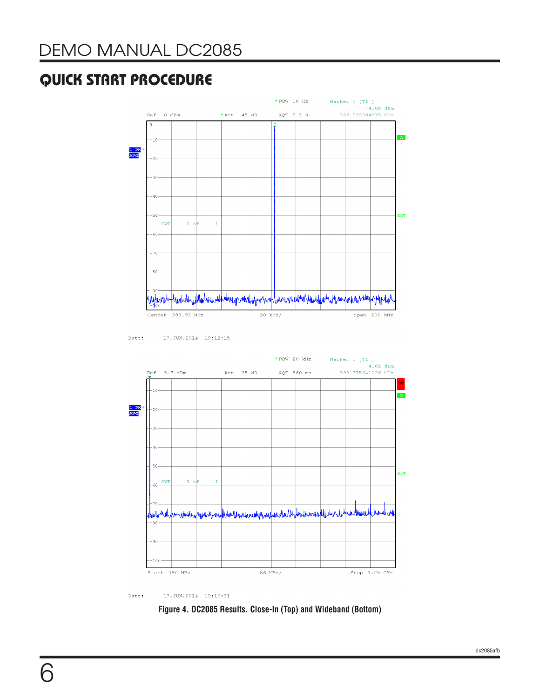

17.JUN.2014 19:12:15 Date:



Date:  $17.$  JUN. 2014  $19:16:31$ 

<span id="page-5-0"></span>**Figure 4. DC2085 Results. Close-In (Top) and Wideband (Bottom)**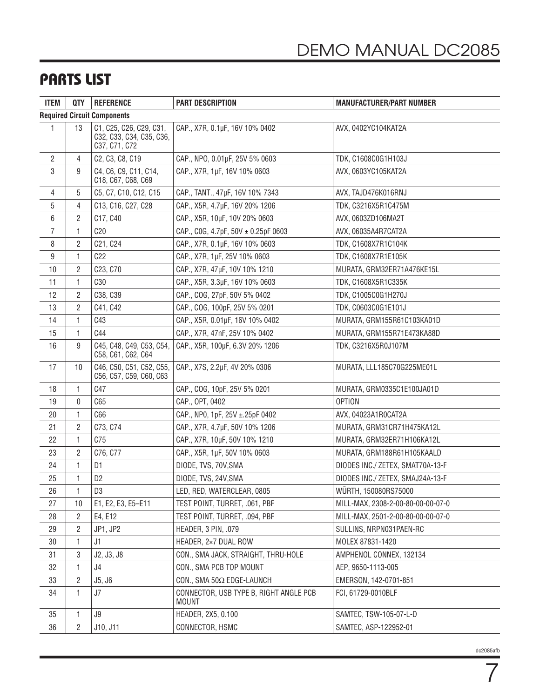### PARTS LIST

| <b>ITEM</b> | <b>QTY</b>                         | <b>REFERENCE</b>                                                     | <b>PART DESCRIPTION</b>                                | <b>MANUFACTURER/PART NUMBER</b>   |  |  |
|-------------|------------------------------------|----------------------------------------------------------------------|--------------------------------------------------------|-----------------------------------|--|--|
|             | <b>Required Circuit Components</b> |                                                                      |                                                        |                                   |  |  |
| 1           | 13                                 | C1, C25, C26, C29, C31,<br>C32, C33, C34, C35, C36,<br>C37, C71, C72 | CAP., X7R, 0.1µF, 16V 10% 0402                         | AVX, 0402YC104KAT2A               |  |  |
| 2           | 4                                  | C2, C3, C8, C19                                                      | CAP., NPO, 0.01µF, 25V 5% 0603                         | TDK, C1608C0G1H103J               |  |  |
| 3           | 9                                  | C4, C6, C9, C11, C14,<br>C18, C67, C68, C69                          | CAP., X7R, 1µF, 16V 10% 0603                           | AVX, 0603YC105KAT2A               |  |  |
| 4           | 5                                  | C5, C7, C10, C12, C15                                                | CAP., TANT., 47µF, 16V 10% 7343                        | AVX, TAJD476K016RNJ               |  |  |
| 5           | 4                                  | C13, C16, C27, C28                                                   | CAP., X5R, 4.7µF, 16V 20% 1206                         | TDK, C3216X5R1C475M               |  |  |
| 6           | 2                                  | C17, C40                                                             | CAP., X5R, 10µF, 10V 20% 0603                          | AVX, 0603ZD106MA2T                |  |  |
| 7           | 1                                  | C20                                                                  | CAP., COG, 4.7pF, 50V ± 0.25pF 0603                    | AVX, 06035A4R7CAT2A               |  |  |
| 8           | 2                                  | C21, C24                                                             | CAP., X7R, 0.1µF, 16V 10% 0603                         | TDK, C1608X7R1C104K               |  |  |
| 9           | 1                                  | C22                                                                  | CAP., X7R, 1µF, 25V 10% 0603                           | TDK, C1608X7R1E105K               |  |  |
| 10          | 2                                  | C23, C70                                                             | CAP., X7R, 47µF, 10V 10% 1210                          | MURATA, GRM32ER71A476KE15L        |  |  |
| 11          | 1                                  | C <sub>30</sub>                                                      | CAP., X5R, 3.3µF, 16V 10% 0603                         | TDK, C1608X5R1C335K               |  |  |
| 12          | 2                                  | C38, C39                                                             | CAP., COG, 27pF, 50V 5% 0402                           | TDK, C1005C0G1H270J               |  |  |
| 13          | 2                                  | C41, C42                                                             | CAP., COG, 100pF, 25V 5% 0201                          | TDK, C0603C0G1E101J               |  |  |
| 14          | 1                                  | C43                                                                  | CAP., X5R, 0.01µF, 16V 10% 0402                        | MURATA, GRM155R61C103KA01D        |  |  |
| 15          | 1                                  | C44                                                                  | CAP., X7R, 47nF, 25V 10% 0402                          | MURATA, GRM155R71E473KA88D        |  |  |
| 16          | 9                                  | C45, C48, C49, C53, C54,<br>C58, C61, C62, C64                       | CAP., X5R, 100µF, 6.3V 20% 1206                        | TDK, C3216X5R0J107M               |  |  |
| 17          | 10                                 | C46, C50, C51, C52, C55,<br>C56, C57, C59, C60, C63                  | CAP., X7S, 2.2µF, 4V 20% 0306                          | MURATA, LLL185C70G225ME01L        |  |  |
| 18          | 1                                  | C47                                                                  | CAP., COG, 10pF, 25V 5% 0201                           | MURATA, GRM0335C1E100JA01D        |  |  |
| 19          | 0                                  | C65                                                                  | CAP., OPT, 0402                                        | <b>OPTION</b>                     |  |  |
| 20          | 1                                  | C66                                                                  | CAP., NP0, 1pF, 25V ±.25pF 0402                        | AVX, 04023A1R0CAT2A               |  |  |
| 21          | 2                                  | C73, C74                                                             | CAP., X7R, 4.7µF, 50V 10% 1206                         | MURATA, GRM31CR71H475KA12L        |  |  |
| 22          | 1                                  | C75                                                                  | CAP., X7R, 10µF, 50V 10% 1210                          | MURATA, GRM32ER71H106KA12L        |  |  |
| 23          | 2                                  | C76, C77                                                             | CAP., X5R, 1µF, 50V 10% 0603                           | MURATA, GRM188R61H105KAALD        |  |  |
| 24          | 1                                  | D <sub>1</sub>                                                       | DIODE, TVS, 70V, SMA                                   | DIODES INC./ ZETEX, SMAT70A-13-F  |  |  |
| 25          | 1                                  | D <sub>2</sub>                                                       | DIODE, TVS, 24V, SMA                                   | DIODES INC./ ZETEX, SMAJ24A-13-F  |  |  |
| $26\,$      | $\mathbf{1}$                       | D3                                                                   | LED, RED, WATERCLEAR, 0805                             | WÜRTH, 150080RS75000              |  |  |
| 27          | 10                                 | E1, E2, E3, E5-E11                                                   | TEST POINT, TURRET, .061, PBF                          | MILL-MAX, 2308-2-00-80-00-00-07-0 |  |  |
| 28          | 2                                  | E4, E12                                                              | TEST POINT, TURRET, .094, PBF                          | MILL-MAX, 2501-2-00-80-00-00-07-0 |  |  |
| 29          | $\overline{c}$                     | JP1, JP2                                                             | HEADER, 3 PIN, .079                                    | SULLINS, NRPN031PAEN-RC           |  |  |
| 30          | 1                                  | J1                                                                   | HEADER, 2×7 DUAL ROW                                   | MOLEX 87831-1420                  |  |  |
| 31          | 3                                  | J2, J3, J8                                                           | CON., SMA JACK, STRAIGHT, THRU-HOLE                    | AMPHENOL CONNEX, 132134           |  |  |
| 32          | 1                                  | J4                                                                   | CON., SMA PCB TOP MOUNT                                | AEP, 9650-1113-005                |  |  |
| 33          | 2                                  | J5, J6                                                               | CON., SMA 50Ω EDGE-LAUNCH                              | EMERSON, 142-0701-851             |  |  |
| 34          | 1                                  | J7                                                                   | CONNECTOR, USB TYPE B, RIGHT ANGLE PCB<br><b>MOUNT</b> | FCI, 61729-0010BLF                |  |  |
| 35          | $\mathbf{1}$                       | J9                                                                   | HEADER, 2X5, 0.100                                     | SAMTEC, TSW-105-07-L-D            |  |  |
| 36          | 2                                  | J10, J11                                                             | CONNECTOR, HSMC                                        | SAMTEC, ASP-122952-01             |  |  |

7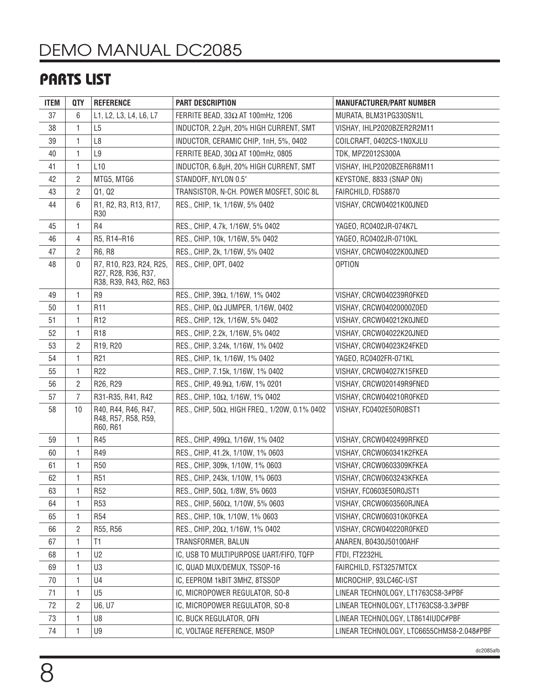# DEMO MANUAL DC2085

## PARTS LIST

| <b>ITEM</b> | QTY            | <b>REFERENCE</b>                                                          | PART DESCRIPTION                              | <b>MANUFACTURER/PART NUMBER</b>           |
|-------------|----------------|---------------------------------------------------------------------------|-----------------------------------------------|-------------------------------------------|
| 37          | 6              | L1, L2, L3, L4, L6, L7                                                    | FERRITE BEAD, 33Ω AT 100mHz, 1206             | MURATA, BLM31PG330SN1L                    |
| 38          | 1              | L <sub>5</sub>                                                            | INDUCTOR, 2.2µH, 20% HIGH CURRENT, SMT        | VISHAY, IHLP2020BZER2R2M11                |
| 39          | 1              | L <sub>8</sub>                                                            | INDUCTOR, CERAMIC CHIP, 1nH, 5%, 0402         | COILCRAFT, 0402CS-1N0XJLU                 |
| 40          | 1              | L9                                                                        | FERRITE BEAD, 30Ω AT 100mHz, 0805             | TDK, MPZ2012S300A                         |
| 41          | 1              | L <sub>10</sub>                                                           | INDUCTOR, 6.8µH, 20% HIGH CURRENT, SMT        | VISHAY, IHLP2020BZER6R8M11                |
| 42          | 2              | MTG5, MTG6                                                                | STANDOFF, NYLON 0.5"                          | KEYSTONE, 8833 (SNAP ON)                  |
| 43          | $\overline{c}$ | Q1, Q2                                                                    | TRANSISTOR, N-CH. POWER MOSFET, SOIC 8L       | FAIRCHILD, FDS8870                        |
| 44          | 6              | R1, R2, R3, R13, R17,<br>R <sub>30</sub>                                  | RES., CHIP, 1k, 1/16W, 5% 0402                | VISHAY, CRCW04021K00JNED                  |
| 45          | 1              | R4                                                                        | RES., CHIP, 4.7k, 1/16W, 5% 0402              | YAGEO, RC0402JR-074K7L                    |
| 46          | 4              | R5, R14-R16                                                               | RES., CHIP, 10k, 1/16W, 5% 0402               | YAGEO, RC0402JR-0710KL                    |
| 47          | 2              | R6, R8                                                                    | RES., CHIP, 2k, 1/16W, 5% 0402                | VISHAY, CRCW04022K00JNED                  |
| 48          | 0              | R7, R10, R23, R24, R25,<br>R27, R28, R36, R37,<br>R38, R39, R43, R62, R63 | RES., CHIP, OPT, 0402                         | <b>OPTION</b>                             |
| 49          | 1              | R9                                                                        | RES., CHIP, 39Ω, 1/16W, 1% 0402               | VISHAY, CRCW040239R0FKED                  |
| 50          | 1              | R <sub>11</sub>                                                           | RES., CHIP, 0Ω JUMPER, 1/16W, 0402            | VISHAY, CRCW04020000Z0ED                  |
| 51          | 1              | R12                                                                       | RES., CHIP, 12k, 1/16W, 5% 0402               | VISHAY, CRCW040212K0JNED                  |
| 52          | 1              | R <sub>18</sub>                                                           | RES., CHIP, 2.2k, 1/16W, 5% 0402              | VISHAY, CRCW04022K20JNED                  |
| 53          | 2              | R19, R20                                                                  | RES., CHIP, 3.24k, 1/16W, 1% 0402             | VISHAY, CRCW04023K24FKED                  |
| 54          | 1              | R <sub>21</sub>                                                           | RES., CHIP, 1k, 1/16W, 1% 0402                | YAGEO, RC0402FR-071KL                     |
| 55          | 1              | R <sub>22</sub>                                                           | RES., CHIP, 7.15k, 1/16W, 1% 0402             | VISHAY, CRCW04027K15FKED                  |
| 56          | 2              | R26, R29                                                                  | RES., CHIP, 49.9Ω, 1/6W, 1% 0201              | VISHAY, CRCW020149R9FNED                  |
| 57          | $\overline{7}$ | R31-R35, R41, R42                                                         | RES., CHIP, 10Ω, 1/16W, 1% 0402               | VISHAY, CRCW040210R0FKED                  |
| 58          | 10             | R40, R44, R46, R47,<br>R48, R57, R58, R59,<br>R60, R61                    | RES., CHIP, 50Ω, HIGH FREQ., 1/20W, 0.1% 0402 | VISHAY, FC0402E50R0BST1                   |
| 59          | 1              | R45                                                                       | RES., CHIP, 499Ω, 1/16W, 1% 0402              | VISHAY, CRCW0402499RFKED                  |
| 60          | 1              | R49                                                                       | RES., CHIP, 41.2k, 1/10W, 1% 0603             | VISHAY, CRCW060341K2FKEA                  |
| 61          | 1              | R <sub>50</sub>                                                           | RES., CHIP, 309k, 1/10W, 1% 0603              | VISHAY, CRCW0603309KFKEA                  |
| 62          | 1              | R51                                                                       | RES., CHIP, 243k, 1/10W, 1% 0603              | VISHAY, CRCW0603243KFKEA                  |
| 63          | 1              | <b>R52</b>                                                                | RES., CHIP, 50Ω, 1/8W, 5% 0603                | VISHAY, FC0603E50R0JST1                   |
| 64          | 1              | R <sub>53</sub>                                                           | RES., CHIP, 560Ω, 1/10W, 5% 0603              | VISHAY, CRCW0603560RJNEA                  |
| 65          | 1              | R <sub>54</sub>                                                           | RES., CHIP, 10k, 1/10W, 1% 0603               | VISHAY, CRCW060310K0FKEA                  |
| 66          | $\overline{2}$ | R55, R56                                                                  | RES., CHIP, 20Ω, 1/16W, 1% 0402               | VISHAY, CRCW040220R0FKED                  |
| 67          | 1              | T1                                                                        | TRANSFORMER, BALUN                            | ANAREN, B0430J50100AHF                    |
| 68          | 1              | U2                                                                        | IC, USB TO MULTIPURPOSE UART/FIFO, TQFP       | <b>FTDI, FT2232HL</b>                     |
| 69          | 1              | U3                                                                        | IC, QUAD MUX/DEMUX, TSSOP-16                  | FAIRCHILD, FST3257MTCX                    |
| 70          | 1              | U4                                                                        | IC, EEPROM 1kBIT 3MHZ, 8TSSOP                 | MICROCHIP, 93LC46C-I/ST                   |
| 71          | 1              | U <sub>5</sub>                                                            | IC, MICROPOWER REGULATOR, SO-8                | LINEAR TECHNOLOGY, LT1763CS8-3#PBF        |
| 72          | 2              | U6, U7                                                                    | IC, MICROPOWER REGULATOR, SO-8                | LINEAR TECHNOLOGY, LT1763CS8-3.3#PBF      |
| 73          | 1              | U8                                                                        | IC, BUCK REGULATOR, QFN                       | LINEAR TECHNOLOGY, LT8614IUDC#PBF         |
| 74          | 1              | U9                                                                        | IC, VOLTAGE REFERENCE, MSOP                   | LINEAR TECHNOLOGY, LTC6655CHMS8-2.048#PBF |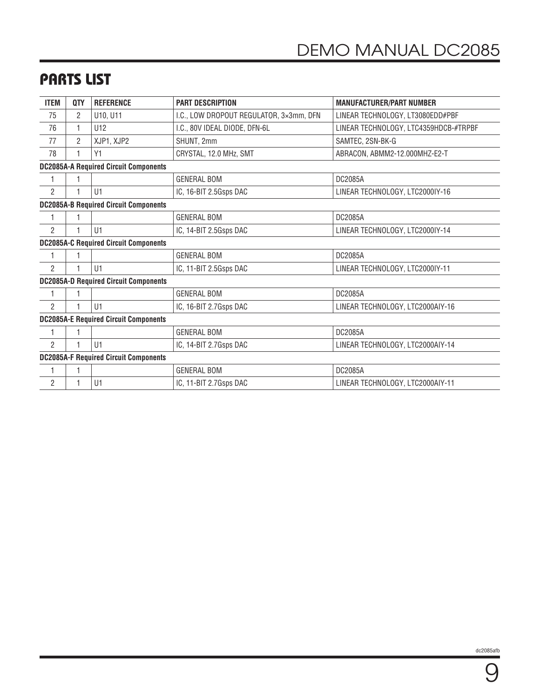### PARTS LIST

| <b>ITEM</b>                                  | <b>QTY</b>                                   | <b>REFERENCE</b>                             | <b>PART DESCRIPTION</b>                 | <b>MANUFACTURER/PART NUMBER</b>       |  |  |
|----------------------------------------------|----------------------------------------------|----------------------------------------------|-----------------------------------------|---------------------------------------|--|--|
| 75                                           | 2                                            | U10, U11                                     | I.C., LOW DROPOUT REGULATOR, 3×3mm, DFN | LINEAR TECHNOLOGY, LT3080EDD#PBF      |  |  |
| 76                                           | 1                                            | U12                                          | I.C., 80V IDEAL DIODE, DFN-6L           | LINEAR TECHNOLOGY, LTC4359HDCB-#TRPBF |  |  |
| 77                                           | 2                                            | XJP1, XJP2                                   | SHUNT, 2mm                              | SAMTEC, 2SN-BK-G                      |  |  |
| 78                                           |                                              | Y1                                           | CRYSTAL, 12.0 MHz, SMT                  | ABRACON, ABMM2-12.000MHZ-E2-T         |  |  |
|                                              | <b>DC2085A-A Required Circuit Components</b> |                                              |                                         |                                       |  |  |
|                                              |                                              |                                              | <b>GENERAL BOM</b>                      | DC2085A                               |  |  |
| $\overline{2}$                               |                                              | U1                                           | IC, 16-BIT 2.5Gsps DAC                  | LINEAR TECHNOLOGY, LTC2000IY-16       |  |  |
|                                              |                                              | <b>DC2085A-B Required Circuit Components</b> |                                         |                                       |  |  |
|                                              |                                              |                                              | <b>GENERAL BOM</b>                      | DC2085A                               |  |  |
| $\overline{2}$                               |                                              | U1                                           | IC, 14-BIT 2.5Gsps DAC                  | LINEAR TECHNOLOGY, LTC2000IY-14       |  |  |
| <b>DC2085A-C Required Circuit Components</b> |                                              |                                              |                                         |                                       |  |  |
|                                              |                                              |                                              | <b>GENERAL BOM</b>                      | DC2085A                               |  |  |
| $\mathfrak{p}$                               | 1                                            | U1                                           | IC, 11-BIT 2.5Gsps DAC                  | LINEAR TECHNOLOGY, LTC2000IY-11       |  |  |
|                                              |                                              | <b>DC2085A-D Required Circuit Components</b> |                                         |                                       |  |  |
|                                              |                                              |                                              | <b>GENERAL BOM</b>                      | DC2085A                               |  |  |
| $\overline{2}$                               |                                              | U1                                           | IC, 16-BIT 2.7Gsps DAC                  | LINEAR TECHNOLOGY, LTC2000AIY-16      |  |  |
| <b>DC2085A-E Required Circuit Components</b> |                                              |                                              |                                         |                                       |  |  |
| 1                                            |                                              |                                              | <b>GENERAL BOM</b>                      | DC2085A                               |  |  |
| $\overline{2}$                               |                                              | U1                                           | IC, 14-BIT 2.7Gsps DAC                  | LINEAR TECHNOLOGY, LTC2000AIY-14      |  |  |
|                                              |                                              | <b>DC2085A-F Required Circuit Components</b> |                                         |                                       |  |  |
|                                              |                                              |                                              | <b>GENERAL BOM</b>                      | DC2085A                               |  |  |
| $\overline{2}$                               |                                              | U1                                           | IC, 11-BIT 2.7Gsps DAC                  | LINEAR TECHNOLOGY, LTC2000AIY-11      |  |  |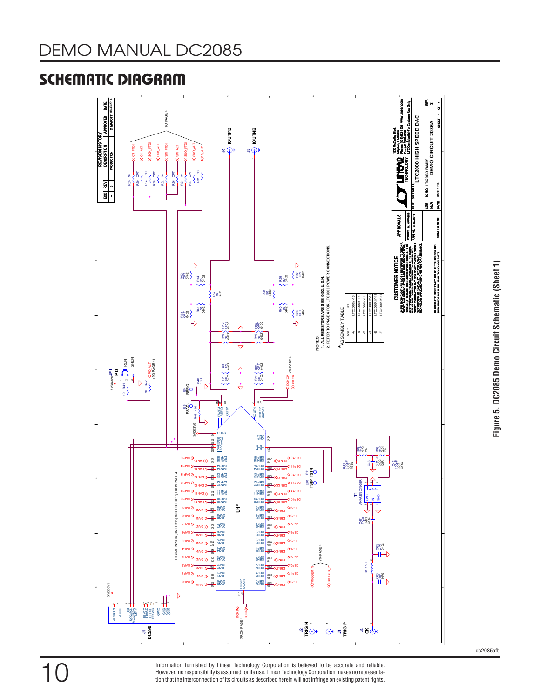# SCHEMATIC DIAGRAM



Information furnished by Linear Technology Corporation is believed to be accurate and reliable. However, no responsibility is assumed for its use. Linear Technology Corporation makes no representation that the interconnection of its circuits as described herein will not infringe on existing patent rights. dc2085afb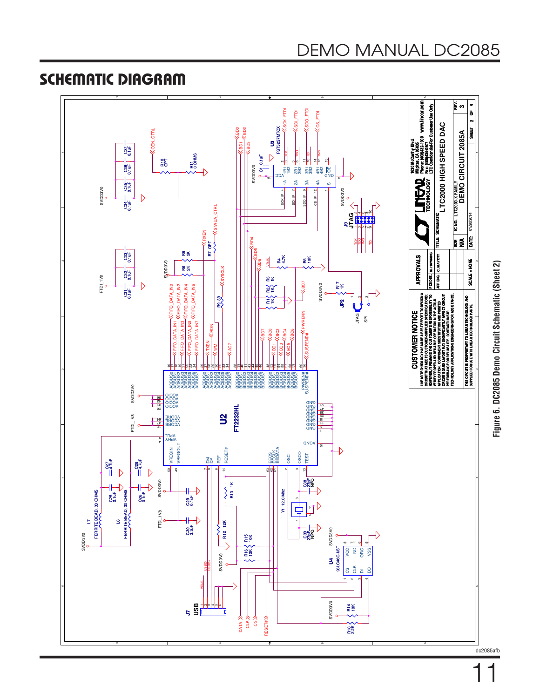



DEMO MANUAL DC2085

## SCHEMATIC DIAGRAM



11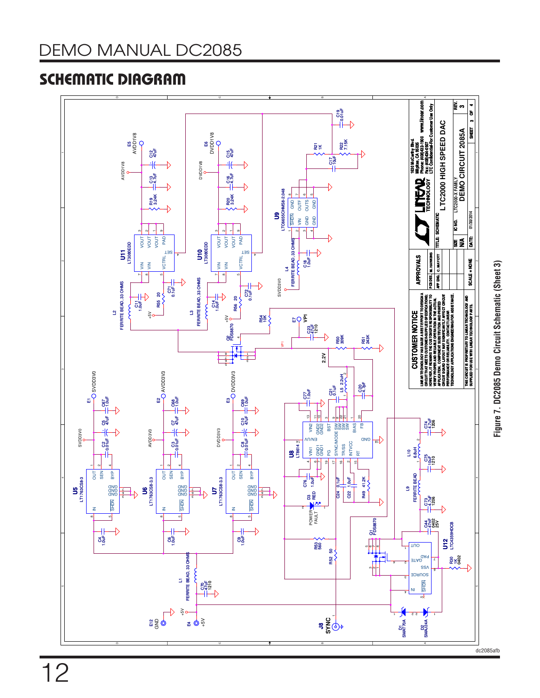## SCHEMATIC DIAGRAM



12

**Figure 7. DC2085 Demo Circuit Schematic (Sheet 3)**

Figure 7. DC2085 Demo Circuit Schematic (Sheet 3)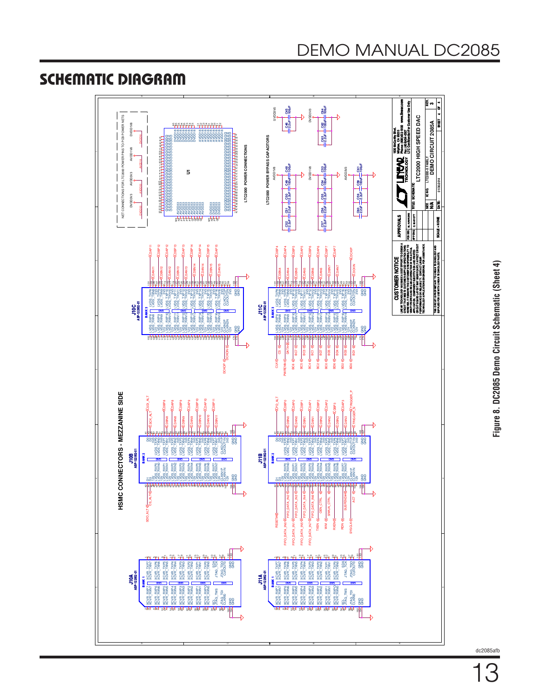### SCHEMATIC DIAGRAM



dc2085afb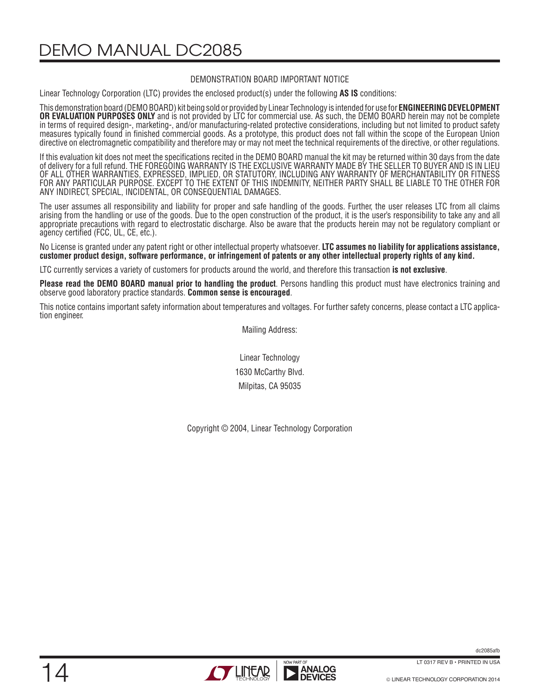DEMO MANUAL DC2085

#### DEMONSTRATION BOARD IMPORTANT NOTICE

Linear Technology Corporation (LTC) provides the enclosed product(s) under the following **AS IS** conditions:

This demonstration board (DEMO BOARD) kit being sold or provided by Linear Technology is intended for use for **ENGINEERING DEVELOPMENT OR EVALUATION PURPOSES ONLY** and is not provided by LTC for commercial use. As such, the DEMO BOARD herein may not be complete in terms of required design-, marketing-, and/or manufacturing-related protective considerations, including but not limited to product safety measures typically found in finished commercial goods. As a prototype, this product does not fall within the scope of the European Union directive on electromagnetic compatibility and therefore may or may not meet the technical requirements of the directive, or other regulations.

If this evaluation kit does not meet the specifications recited in the DEMO BOARD manual the kit may be returned within 30 days from the date of delivery for a full refund. THE FOREGOING WARRANTY IS THE EXCLUSIVE WARRANTY MADE BY THE SELLER TO BUYER AND IS IN LIEU OF ALL OTHER WARRANTIES, EXPRESSED, IMPLIED, OR STATUTORY, INCLUDING ANY WARRANTY OF MERCHANTABILITY OR FITNESS FOR ANY PARTICULAR PURPOSE. EXCEPT TO THE EXTENT OF THIS INDEMNITY, NEITHER PARTY SHALL BE LIABLE TO THE OTHER FOR ANY INDIRECT, SPECIAL, INCIDENTAL, OR CONSEQUENTIAL DAMAGES.

The user assumes all responsibility and liability for proper and safe handling of the goods. Further, the user releases LTC from all claims arising from the handling or use of the goods. Due to the open construction of the product, it is the user's responsibility to take any and all appropriate precautions with regard to electrostatic discharge. Also be aware that the products herein may not be regulatory compliant or agency certified (FCC, UL, CE, etc.).

No License is granted under any patent right or other intellectual property whatsoever. **LTC assumes no liability for applications assistance, customer product design, software performance, or infringement of patents or any other intellectual property rights of any kind.**

LTC currently services a variety of customers for products around the world, and therefore this transaction **is not exclusive**.

**Please read the DEMO BOARD manual prior to handling the product**. Persons handling this product must have electronics training and observe good laboratory practice standards. **Common sense is encouraged**.

This notice contains important safety information about temperatures and voltages. For further safety concerns, please contact a LTC application engineer.

Mailing Address:

Linear Technology 1630 McCarthy Blvd. Milpitas, CA 95035

Copyright © 2004, Linear Technology Corporation